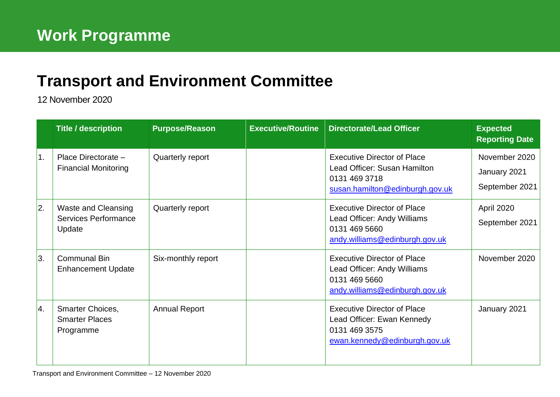## **[Transport and Environment](mailto:john.bury@edinburgh.gov.uk) Committee**

12 November 2020

|    | <b>Title / description</b>                                   | <b>Purpose/Reason</b> | Executive/Routine Directorate/Lead Officer                                                                             | <b>Expected</b><br><b>Reporting Date</b>        |
|----|--------------------------------------------------------------|-----------------------|------------------------------------------------------------------------------------------------------------------------|-------------------------------------------------|
| 1. | Place Directorate -<br><b>Financial Monitoring</b>           | Quarterly report      | <b>Executive Director of Place</b><br>Lead Officer: Susan Hamilton<br>0131 469 3718<br>susan.hamilton@edinburgh.gov.uk | November 2020<br>January 2021<br>September 2021 |
| 2. | <b>Waste and Cleansing</b><br>Services Performance<br>Update | Quarterly report      | <b>Executive Director of Place</b><br>Lead Officer: Andy Williams<br>0131 469 5660<br>andy.williams@edinburgh.gov.uk   | April 2020<br>September 2021                    |
| 3. | <b>Communal Bin</b><br><b>Enhancement Update</b>             | Six-monthly report    | <b>Executive Director of Place</b><br>Lead Officer: Andy Williams<br>0131 469 5660<br>andy.williams@edinburgh.gov.uk   | November 2020                                   |
| 4. | Smarter Choices,<br><b>Smarter Places</b><br>Programme       | <b>Annual Report</b>  | <b>Executive Director of Place</b><br>Lead Officer: Ewan Kennedy<br>0131 469 3575<br>ewan.kennedy@edinburgh.gov.uk     | January 2021                                    |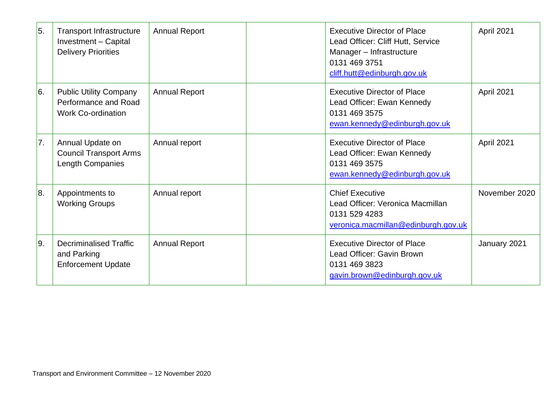| 5.            | <b>Transport Infrastructure</b><br>Investment - Capital<br><b>Delivery Priorities</b> | <b>Annual Report</b> | <b>Executive Director of Place</b><br>Lead Officer: Cliff Hutt, Service<br>Manager - Infrastructure<br>0131 469 3751<br>cliff.hutt@edinburgh.gov.uk | April 2021    |
|---------------|---------------------------------------------------------------------------------------|----------------------|-----------------------------------------------------------------------------------------------------------------------------------------------------|---------------|
| <sup>6.</sup> | <b>Public Utility Company</b><br>Performance and Road<br><b>Work Co-ordination</b>    | <b>Annual Report</b> | <b>Executive Director of Place</b><br>Lead Officer: Ewan Kennedy<br>0131 469 3575<br>ewan.kennedy@edinburgh.gov.uk                                  | April 2021    |
| 7.            | Annual Update on<br><b>Council Transport Arms</b><br>Length Companies                 | Annual report        | <b>Executive Director of Place</b><br>Lead Officer: Ewan Kennedy<br>0131 469 3575<br>ewan.kennedy@edinburgh.gov.uk                                  | April 2021    |
| 8.            | Appointments to<br><b>Working Groups</b>                                              | Annual report        | <b>Chief Executive</b><br>Lead Officer: Veronica Macmillan<br>0131 529 4283<br>veronica.macmillan@edinburgh.gov.uk                                  | November 2020 |
| l9.           | <b>Decriminalised Traffic</b><br>and Parking<br><b>Enforcement Update</b>             | <b>Annual Report</b> | <b>Executive Director of Place</b><br>Lead Officer: Gavin Brown<br>0131 469 3823<br>gavin.brown@edinburgh.gov.uk                                    | January 2021  |